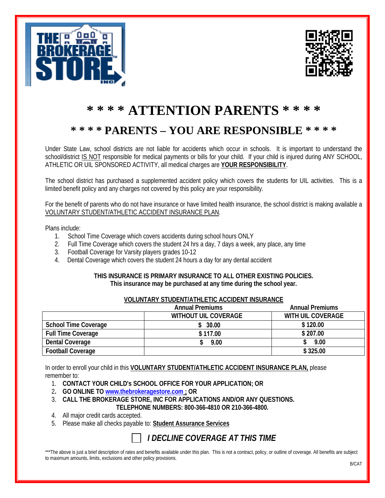



# **\* \* \* \* ATTENTION PARENTS \* \* \* \***

## **\* \* \* \* PARENTS – YOU ARE RESPONSIBLE \* \* \* \***

Under State Law, school districts are not liable for accidents which occur in schools. It is important to understand the school/district IS NOT responsible for medical payments or bills for your child. If your child is injured during ANY SCHOOL, ATHLETIC OR UIL SPONSORED ACTIVITY, all medical charges are **YOUR RESPONSIBILITY**.

The school district has purchased a supplemented accident policy which covers the students for UIL activities. This is a limited benefit policy and any charges not covered by this policy are your responsibility.

For the benefit of parents who do not have insurance or have limited health insurance, the school district is making available a VOLUNTARY STUDENT/ATHLETIC ACCIDENT INSURANCE PLAN.

Plans include:

- 1. School Time Coverage which covers accidents during school hours ONLY
- 2. Full Time Coverage which covers the student 24 hrs a day, 7 days a week, any place, any time
- 3. Football Coverage for Varsity players grades 10-12
- 4. Dental Coverage which covers the student 24 hours a day for any dental accident

### **THIS INSURANCE IS PRIMARY INSURANCE TO ALL OTHER EXISTING POLICIES. This insurance may be purchased at any time during the school year.**

| VOLUNTARY STUDENT/ATHLETIC ACCIDENT INSURANCE |                        |                             |                        |
|-----------------------------------------------|------------------------|-----------------------------|------------------------|
|                                               | <b>Annual Premiums</b> |                             | <b>Annual Premiums</b> |
|                                               |                        | <b>WITHOUT UIL COVERAGE</b> | WITH UIL COVERAGE      |
| <b>School Time Coverage</b>                   |                        | \$30.00                     | \$120.00               |
| <b>Full Time Coverage</b>                     |                        | \$117.00                    | \$207.00               |
| <b>Dental Coverage</b>                        |                        | 9.00                        | 9.00                   |

In order to enroll your child in this **VOLUNTARY STUDENT/ATHLETIC ACCIDENT INSURANCE PLAN,** please remember to:

**Football Coverage \$ 325.00**

- 1. **CONTACT YOUR CHILD's SCHOOL OFFICE FOR YOUR APPLICATION; OR**
- 2**. GO ONLINE TO [www.thebrokeragestore.com](http://www.thebrokeragestore.com/) ; OR**
- 3. **CALL THE BROKERAGE STORE, INC FOR APPLICATIONS AND/OR ANY QUESTIONS. TELEPHONE NUMBERS: 800-366-4810 OR 210-366-4800.**
- 4. All major credit cards accepted.
- 5. Please make all checks payable to: **Student Assurance Services**

### *I DECLINE COVERAGE AT THIS TIME*

\*\*\*The above is iust a brief description of rates and benefits available under this plan. This is not a contract, policy, or outline of coverage. All benefits are subject to maximum amounts, limits, exclusions and other policy provisions.